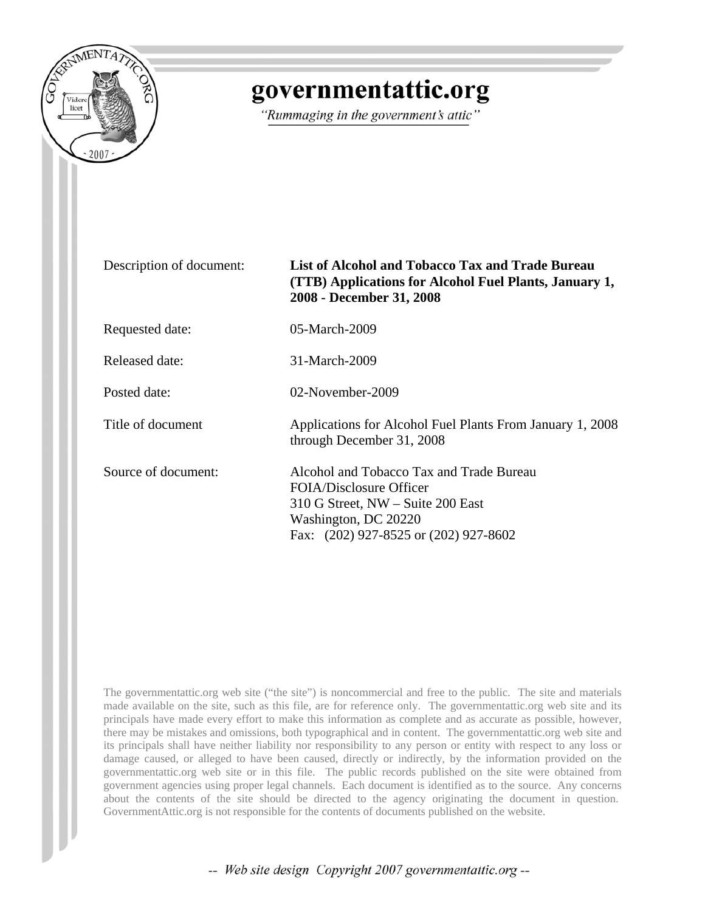

## governmentattic.org

"Rummaging in the government's attic"

| Description of document: | List of Alcohol and Tobacco Tax and Trade Bureau<br>(TTB) Applications for Alcohol Fuel Plants, January 1,<br>2008 - December 31, 2008                                    |
|--------------------------|---------------------------------------------------------------------------------------------------------------------------------------------------------------------------|
| Requested date:          | 05-March-2009                                                                                                                                                             |
| Released date:           | 31-March-2009                                                                                                                                                             |
| Posted date:             | 02-November-2009                                                                                                                                                          |
| Title of document        | Applications for Alcohol Fuel Plants From January 1, 2008<br>through December 31, 2008                                                                                    |
| Source of document:      | Alcohol and Tobacco Tax and Trade Bureau<br>FOIA/Disclosure Officer<br>310 G Street, NW – Suite 200 East<br>Washington, DC 20220<br>Fax: (202) 927-8525 or (202) 927-8602 |

The governmentattic.org web site ("the site") is noncommercial and free to the public. The site and materials made available on the site, such as this file, are for reference only. The governmentattic.org web site and its principals have made every effort to make this information as complete and as accurate as possible, however, there may be mistakes and omissions, both typographical and in content. The governmentattic.org web site and its principals shall have neither liability nor responsibility to any person or entity with respect to any loss or damage caused, or alleged to have been caused, directly or indirectly, by the information provided on the governmentattic.org web site or in this file. The public records published on the site were obtained from government agencies using proper legal channels. Each document is identified as to the source. Any concerns about the contents of the site should be directed to the agency originating the document in question. GovernmentAttic.org is not responsible for the contents of documents published on the website.

-- Web site design Copyright 2007 governmentattic.org --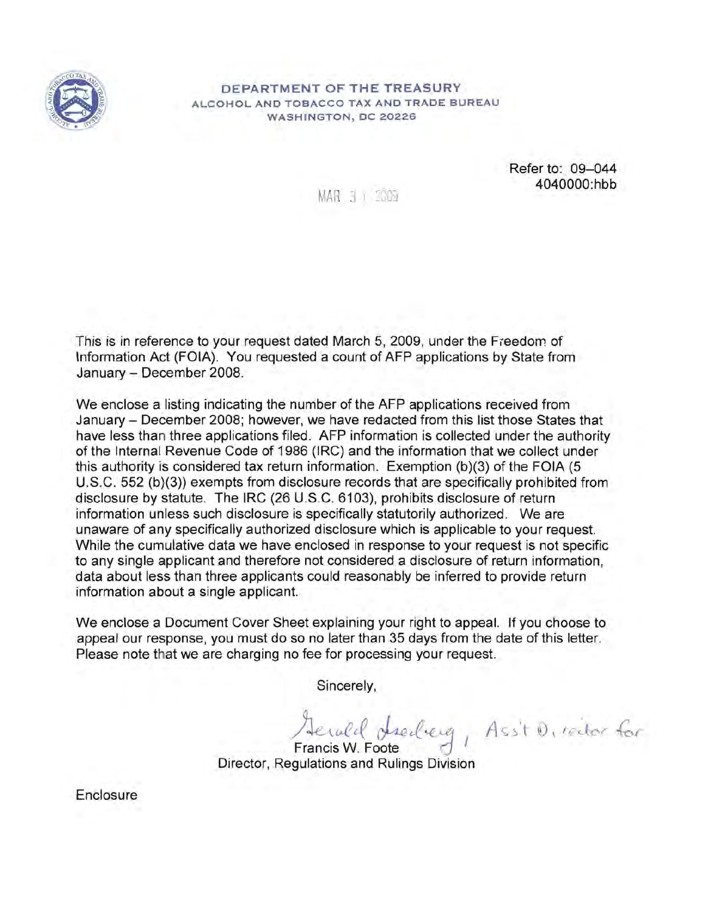

## DEPARTMENT OF THE TREASURY ALCOHOL AND TOBACCO TAX AND TRADE BUREAU WASHINGTON, DC 20226

MAR 3 I 2009

Refer to: 09-044 4040000:hbb

This is in reference to your request dated March 5, 2009, under the Freedom of Information Act (FOIA). You requested a count of AFP applications by State from January - December 2008.

We enclose a listing indicating the number of the AFP applications received from January - December 2008; however, we have redacted from this list those States that have less than three applications filed. AFP information is collected under the authority of the Internal Revenue Code of 1986 (IRC) and the information that we collect under this authority is considered tax return information. Exemption (b)(3) of the FOIA (5 U.S.C. 552 (b}(3» exempts from disclosure records that are specifically prohibited from disclosure by statute. The IRC (26 U.S.C. 6103), prohibits disclosure of return information unless such disclosure is specifically statutorily authorized. We are unaware of any specifically authorized disclosure which is applicable to your request. While the cumulative data we have enclosed in response to your request is not specific to any single applicant and therefore not considered a disclosure of return information, data about less than three applicants could reasonably be inferred to provide return information about a single applicant.

We enclose a Document Cover Sheet explaining your right to appeal. If you choose to appeal our response, you must do so no later than 35 days from the date of this letter. Please note that we are charging no fee for processing your request.

Sincerely,

Herald dreiberg, Ass't Director for Francis W. Foote  $\bigcup$ 

Director, Regulations and Rulings Division

Enclosure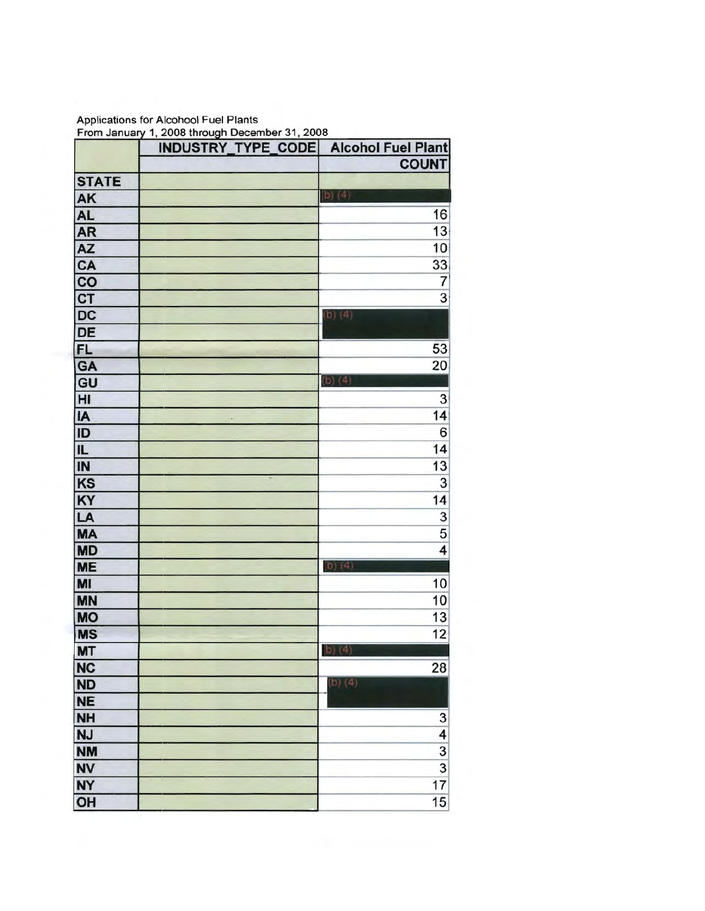Applications for Alcohool Fuel Plants From January 1, 2008 through December 31

|                        | INDUSTRY_TYPE_CODE Alcohol Fuel Plant |                |
|------------------------|---------------------------------------|----------------|
|                        |                                       | <b>COUNT</b>   |
| <b>STATE</b>           |                                       |                |
| AK                     |                                       | $(b)$ (4)      |
| <b>AL</b>              |                                       | 16             |
| AR                     |                                       | 13             |
| $\overline{AZ}$        |                                       | 10             |
| CA<br>DIC<br>DIC<br>DE |                                       | $\frac{33}{7}$ |
|                        |                                       |                |
|                        |                                       | $\overline{3}$ |
|                        |                                       | $(b)$ (4)      |
|                        |                                       |                |
| <b>FL</b>              |                                       | 53             |
| GA                     |                                       | 20             |
| $rac{1}{\text{GU}}$    |                                       | $(b)$ $(4)$    |
|                        |                                       | 3              |
| <b>IA</b><br>ID<br>IL  |                                       | 14             |
|                        |                                       | 6              |
|                        |                                       | 14             |
| $\overline{I}$         |                                       | 13             |
| Ks                     |                                       | 3              |
| KY                     |                                       | 14             |
| LA                     |                                       |                |
| <b>MA</b>              |                                       | $\frac{3}{5}$  |
| <b>MD</b>              |                                       | 4              |
| <b>ME</b>              |                                       | $(b)$ (4)      |
| MI                     |                                       | 10             |
| <b>MN</b>              |                                       | 10             |
| <b>MO</b>              |                                       | 13             |
| <b>MS</b>              |                                       | 12             |
| MT                     |                                       | b) (4)         |
| <b>NC</b>              |                                       | 28             |
| <b>ND</b>              |                                       | (b) (4)        |
| <b>NE</b>              |                                       |                |
| <b>NH</b>              |                                       |                |
| <b>NJ</b>              |                                       | $\frac{3}{4}$  |
| <b>NM</b>              |                                       | 3              |
| <b>NV</b>              |                                       | $\overline{3}$ |
| <b>NY</b>              |                                       | 17             |
| OH                     |                                       | 15             |